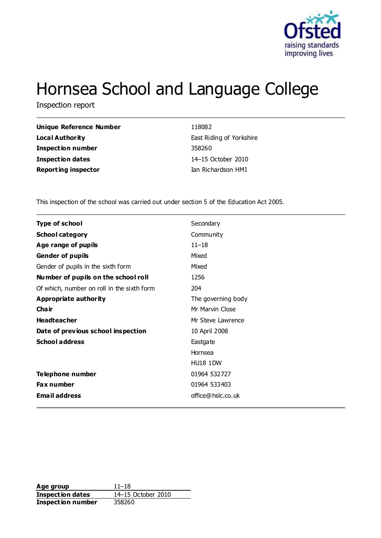

# Hornsea School and Language College

Inspection report

| <b>Unique Reference Number</b> | 118082                   |
|--------------------------------|--------------------------|
| Local Authority                | East Riding of Yorkshire |
| Inspection number              | 358260                   |
| <b>Inspection dates</b>        | 14–15 October 2010       |
| <b>Reporting inspector</b>     | Ian Richardson HMI       |
|                                |                          |

This inspection of the school was carried out under section 5 of the Education Act 2005.

| <b>Type of school</b>                      | Secondary          |
|--------------------------------------------|--------------------|
| <b>School category</b>                     | Community          |
| Age range of pupils                        | $11 - 18$          |
| <b>Gender of pupils</b>                    | Mixed              |
| Gender of pupils in the sixth form         | Mixed              |
| Number of pupils on the school roll        | 1256               |
| Of which, number on roll in the sixth form | 204                |
| Appropriate authority                      | The governing body |
| Cha ir                                     | Mr Marvin Close    |
| <b>Headteacher</b>                         | Mr Steve Lawrence  |
| Date of previous school inspection         | 10 April 2008      |
| <b>School address</b>                      | Eastgate           |
|                                            | Hornsea            |
|                                            | <b>HU18 1DW</b>    |
| <b>Telephone number</b>                    | 01964 532727       |
| Fax number                                 | 01964 533403       |
| <b>Email address</b>                       | office@hslc.co.uk  |

**Age group** 11–18<br> **Inspection dates** 14–15 October 2010 **Inspection dates Inspection number** 358260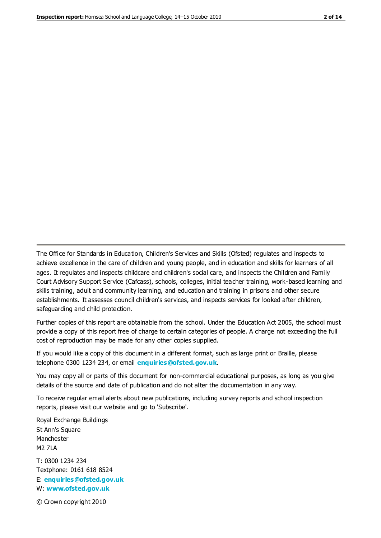The Office for Standards in Education, Children's Services and Skills (Ofsted) regulates and inspects to achieve excellence in the care of children and young people, and in education and skills for learners of all ages. It regulates and inspects childcare and children's social care, and inspects the Children and Family Court Advisory Support Service (Cafcass), schools, colleges, initial teacher training, work-based learning and skills training, adult and community learning, and education and training in prisons and other secure establishments. It assesses council children's services, and inspects services for looked after children, safeguarding and child protection.

Further copies of this report are obtainable from the school. Under the Education Act 2005, the school must provide a copy of this report free of charge to certain categories of people. A charge not exceeding the full cost of reproduction may be made for any other copies supplied.

If you would like a copy of this document in a different format, such as large print or Braille, please telephone 0300 1234 234, or email **[enquiries@ofsted.gov.uk](mailto:enquiries@ofsted.gov.uk)**.

You may copy all or parts of this document for non-commercial educational purposes, as long as you give details of the source and date of publication and do not alter the documentation in any way.

To receive regular email alerts about new publications, including survey reports and school inspection reports, please visit our website and go to 'Subscribe'.

Royal Exchange Buildings St Ann's Square Manchester M2 7LA T: 0300 1234 234 Textphone: 0161 618 8524 E: **[enquiries@ofsted.gov.uk](mailto:enquiries@ofsted.gov.uk)**

W: **[www.ofsted.gov.uk](http://www.ofsted.gov.uk/)**

© Crown copyright 2010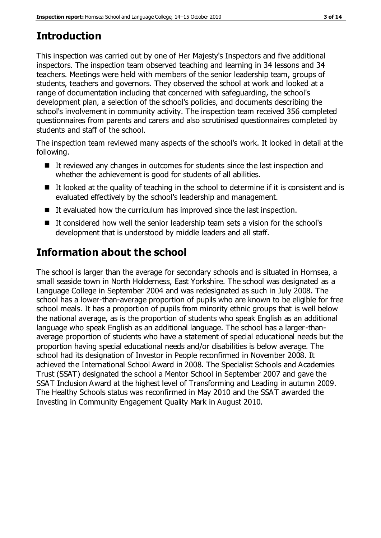# **Introduction**

This inspection was carried out by one of Her Majesty's Inspectors and five additional inspectors. The inspection team observed teaching and learning in 34 lessons and 34 teachers. Meetings were held with members of the senior leadership team, groups of students, teachers and governors. They observed the school at work and looked at a range of documentation including that concerned with safeguarding, the school's development plan, a selection of the school's policies, and documents describing the school's involvement in community activity. The inspection team received 356 completed questionnaires from parents and carers and also scrutinised questionnaires completed by students and staff of the school.

The inspection team reviewed many aspects of the school's work. It looked in detail at the following.

- It reviewed any changes in outcomes for students since the last inspection and whether the achievement is good for students of all abilities.
- $\blacksquare$  It looked at the quality of teaching in the school to determine if it is consistent and is evaluated effectively by the school's leadership and management.
- $\blacksquare$  It evaluated how the curriculum has improved since the last inspection.
- It considered how well the senior leadership team sets a vision for the school's development that is understood by middle leaders and all staff.

# **Information about the school**

The school is larger than the average for secondary schools and is situated in Hornsea, a small seaside town in North Holderness, East Yorkshire. The school was designated as a Language College in September 2004 and was redesignated as such in July 2008. The school has a lower-than-average proportion of pupils who are known to be eligible for free school meals. It has a proportion of pupils from minority ethnic groups that is well below the national average, as is the proportion of students who speak English as an additional language who speak English as an additional language. The school has a larger-thanaverage proportion of students who have a statement of special educational needs but the proportion having special educational needs and/or disabilities is below average. The school had its designation of Investor in People reconfirmed in November 2008. It achieved the International School Award in 2008. The Specialist Schools and Academies Trust (SSAT) designated the school a Mentor School in September 2007 and gave the SSAT Inclusion Award at the highest level of Transforming and Leading in autumn 2009. The Healthy Schools status was reconfirmed in May 2010 and the SSAT awarded the Investing in Community Engagement Quality Mark in August 2010.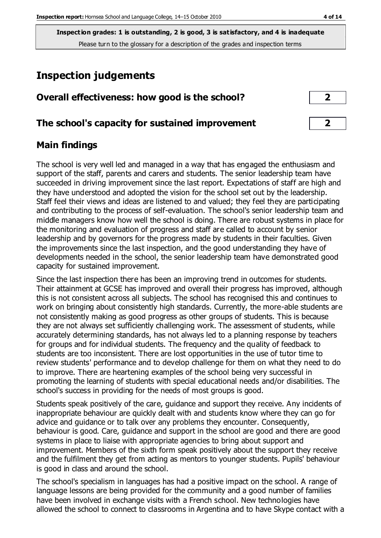# **Inspection judgements**

| Overall effectiveness: how good is the school? |  |
|------------------------------------------------|--|
|------------------------------------------------|--|

## **The school's capacity for sustained improvement 2**

## **Main findings**

The school is very well led and managed in a way that has engaged the enthusiasm and support of the staff, parents and carers and students. The senior leadership team have succeeded in driving improvement since the last report. Expectations of staff are high and they have understood and adopted the vision for the school set out by the leadership. Staff feel their views and ideas are listened to and valued; they feel they are participating and contributing to the process of self-evaluation. The school's senior leadership team and middle managers know how well the school is doing. There are robust systems in place for the monitoring and evaluation of progress and staff are called to account by senior leadership and by governors for the progress made by students in their faculties. Given the improvements since the last inspection, and the good understanding they have of developments needed in the school, the senior leadership team have demonstrated good capacity for sustained improvement.

Since the last inspection there has been an improving trend in outcomes for students. Their attainment at GCSE has improved and overall their progress has improved, although this is not consistent across all subjects. The school has recognised this and continues to work on bringing about consistently high standards. Currently, the more-able students are not consistently making as good progress as other groups of students. This is because they are not always set sufficiently challenging work. The assessment of students, while accurately determining standards, has not always led to a planning response by teachers for groups and for individual students. The frequency and the quality of feedback to students are too inconsistent. There are lost opportunities in the use of tutor time to review students' performance and to develop challenge for them on what they need to do to improve. There are heartening examples of the school being very successful in promoting the learning of students with special educational needs and/or disabilities. The school's success in providing for the needs of most groups is good.

Students speak positively of the care, guidance and support they receive. Any incidents of inappropriate behaviour are quickly dealt with and students know where they can go for advice and guidance or to talk over any problems they encounter. Consequently, behaviour is good. Care, guidance and support in the school are good and there are good systems in place to liaise with appropriate agencies to bring about support and improvement. Members of the sixth form speak positively about the support they receive and the fulfilment they get from acting as mentors to younger students. Pupils' behaviour is good in class and around the school.

The school's specialism in languages has had a positive impact on the school. A range of language lessons are being provided for the community and a good number of families have been involved in exchange visits with a French school. New technologies have allowed the school to connect to classrooms in Argentina and to have Skype contact with a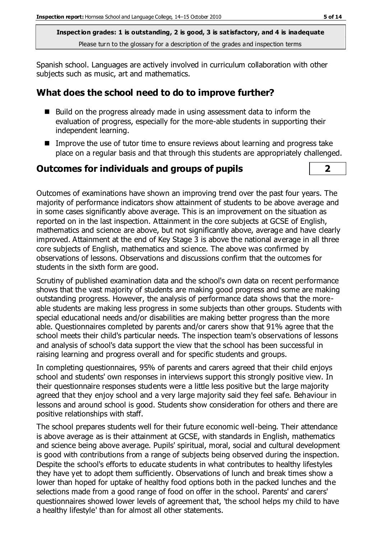Spanish school. Languages are actively involved in curriculum collaboration with other subjects such as music, art and mathematics.

## **What does the school need to do to improve further?**

- Build on the progress already made in using assessment data to inform the evaluation of progress, especially for the more-able students in supporting their independent learning.
- Improve the use of tutor time to ensure reviews about learning and progress take place on a regular basis and that through this students are appropriately challenged.

#### **Outcomes for individuals and groups of pupils 2**

Outcomes of examinations have shown an improving trend over the past four years. The majority of performance indicators show attainment of students to be above average and in some cases significantly above average. This is an improvement on the situation as reported on in the last inspection. Attainment in the core subjects at GCSE of English, mathematics and science are above, but not significantly above, average and have clearly improved. Attainment at the end of Key Stage 3 is above the national average in all three core subjects of English, mathematics and science. The above was confirmed by observations of lessons. Observations and discussions confirm that the outcomes for students in the sixth form are good.

Scrutiny of published examination data and the school's own data on recent performance shows that the vast majority of students are making good progress and some are making outstanding progress. However, the analysis of performance data shows that the moreable students are making less progress in some subjects than other groups. Students with special educational needs and/or disabilities are making better progress than the more able. Questionnaires completed by parents and/or carers show that 91% agree that the school meets their child's particular needs. The inspection team's observations of lessons and analysis of school's data support the view that the school has been successful in raising learning and progress overall and for specific students and groups.

In completing questionnaires, 95% of parents and carers agreed that their child enjoys school and students' own responses in interviews support this strongly positive view. In their questionnaire responses students were a little less positive but the large majority agreed that they enjoy school and a very large majority said they feel safe. Behaviour in lessons and around school is good. Students show consideration for others and there are positive relationships with staff.

The school prepares students well for their future economic well-being. Their attendance is above average as is their attainment at GCSE, with standards in English, mathematics and science being above average. Pupils' spiritual, moral, social and cultural development is good with contributions from a range of subjects being observed during the inspection. Despite the school's efforts to educate students in what contributes to healthy lifestyles they have yet to adopt them sufficiently. Observations of lunch and break times show a lower than hoped for uptake of healthy food options both in the packed lunches and the selections made from a good range of food on offer in the school. Parents' and carers' questionnaires showed lower levels of agreement that, 'the school helps my child to have a healthy lifestyle' than for almost all other statements.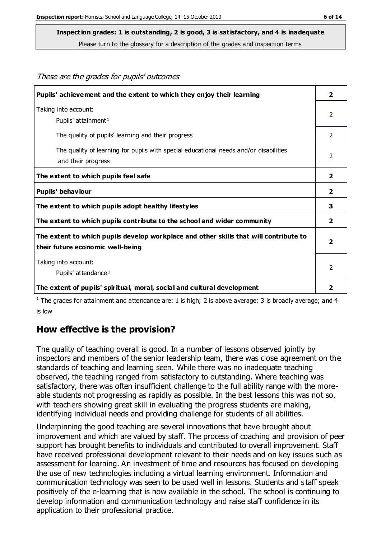These are the grades for pupils' outcomes

#### **Inspection grades: 1 is outstanding, 2 is good, 3 is satisfactory, and 4 is inadequate**

Please turn to the glossary for a description of the grades and inspection terms

| Pupils' achievement and the extent to which they enjoy their learning                                                     | $\overline{\mathbf{2}}$ |
|---------------------------------------------------------------------------------------------------------------------------|-------------------------|
| Taking into account:<br>Pupils' attainment <sup>1</sup>                                                                   | $\mathcal{P}$           |
| The quality of pupils' learning and their progress                                                                        | $\overline{2}$          |
| The quality of learning for pupils with special educational needs and/or disabilities<br>and their progress               | $\mathcal{P}$           |
| The extent to which pupils feel safe                                                                                      | $\overline{2}$          |
| Pupils' behaviour                                                                                                         | 2                       |
| The extent to which pupils adopt healthy lifestyles                                                                       | 3                       |
| The extent to which pupils contribute to the school and wider community                                                   | $\mathbf{2}$            |
| The extent to which pupils develop workplace and other skills that will contribute to<br>their future economic well-being | $\overline{2}$          |
| Taking into account:<br>Pupils' attendance <sup>1</sup>                                                                   | 2                       |
| The extent of pupils' spiritual, moral, social and cultural development                                                   | 2                       |

<sup>1</sup> The grades for attainment and attendance are: 1 is high; 2 is above average; 3 is broadly average; and 4 is low

#### **How effective is the provision?**

The quality of teaching overall is good. In a number of lessons observed jointly by inspectors and members of the senior leadership team, there was close agreement on the standards of teaching and learning seen. While there was no inadequate teaching observed, the teaching ranged from satisfactory to outstanding. Where teaching was satisfactory, there was often insufficient challenge to the full ability range with the moreable students not progressing as rapidly as possible. In the best lessons this was not so, with teachers showing great skill in evaluating the progress students are making, identifying individual needs and providing challenge for students of all abilities.

Underpinning the good teaching are several innovations that have brought about improvement and which are valued by staff. The process of coaching and provision of peer support has brought benefits to individuals and contributed to overall improvement. Staff have received professional development relevant to their needs and on key issues such as assessment for learning. An investment of time and resources has focused on developing the use of new technologies including a virtual learning environment. Information and communication technology was seen to be used well in lessons. Students and s taff speak positively of the e-learning that is now available in the school. The school is continuing to develop information and communication technology and raise staff confidence in its application to their professional practice.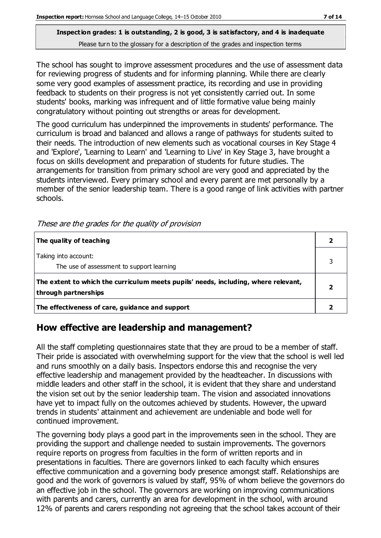The school has sought to improve assessment procedures and the use of assessment data for reviewing progress of students and for informing planning. While there are clearly some very good examples of assessment practice, its recording and use in providing feedback to students on their progress is not yet consistently carried out. In some students' books, marking was infrequent and of little formative value being mainly congratulatory without pointing out strengths or areas for development.

The good curriculum has underpinned the improvements in students' performance. The curriculum is broad and balanced and allows a range of pathways for students suited to their needs. The introduction of new elements such as vocational courses in Key Stage 4 and 'Explore', 'Learning to Learn' and 'Learning to Live' in Key Stage 3, have brought a focus on skills development and preparation of students for future studies. The arrangements for transition from primary school are very good and appreciated by the students interviewed. Every primary school and every parent are met personally by a member of the senior leadership team. There is a good range of link activities with partner schools.

| The quality of teaching                                                                                    |  |
|------------------------------------------------------------------------------------------------------------|--|
| Taking into account:<br>The use of assessment to support learning                                          |  |
| The extent to which the curriculum meets pupils' needs, including, where relevant,<br>through partnerships |  |
| The effectiveness of care, guidance and support                                                            |  |

These are the grades for the quality of provision

## **How effective are leadership and management?**

All the staff completing questionnaires state that they are proud to be a member of staff. Their pride is associated with overwhelming support for the view that the school is well led and runs smoothly on a daily basis. Inspectors endorse this and recognise the very effective leadership and management provided by the headteacher. In discussions with middle leaders and other staff in the school, it is evident that they share and understand the vision set out by the senior leadership team. The vision and associated innovations have yet to impact fully on the outcomes achieved by students. However, the upward trends in students' attainment and achievement are undeniable and bode well for continued improvement.

The governing body plays a good part in the improvements seen in the school. They are providing the support and challenge needed to sustain improvements. The governors require reports on progress from faculties in the form of written reports and in presentations in faculties. There are governors linked to each faculty which ensures effective communication and a governing body presence amongst staff. Relationships are good and the work of governors is valued by staff, 95% of whom believe the governors do an effective job in the school. The governors are working on improving communications with parents and carers, currently an area for development in the school, with around 12% of parents and carers responding not agreeing that the school takes account of their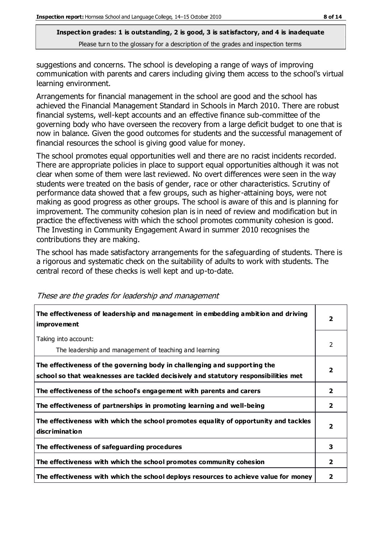suggestions and concerns. The school is developing a range of ways of improving communication with parents and carers including giving them access to the school's virtual learning environment.

Arrangements for financial management in the school are good and the school has achieved the Financial Management Standard in Schools in March 2010. There are robust financial systems, well-kept accounts and an effective finance sub-committee of the governing body who have overseen the recovery from a large deficit budget to one that is now in balance. Given the good outcomes for students and the successful management of financial resources the school is giving good value for money.

The school promotes equal opportunities well and there are no racist incidents recorded. There are appropriate policies in place to support equal opportunities although it was not clear when some of them were last reviewed. No overt differences were seen in the way students were treated on the basis of gender, race or other characteristics. Scrutiny of performance data showed that a few groups, such as higher-attaining boys, were not making as good progress as other groups. The school is aware of this and is planning for improvement. The community cohesion plan is in need of review and modification but in practice the effectiveness with which the school promotes community cohesion is good. The Investing in Community Engagement Award in summer 2010 recognises the contributions they are making.

The school has made satisfactory arrangements for the safeguarding of students. There is a rigorous and systematic check on the suitability of adults to work with students. The central record of these checks is well kept and up-to-date.

| The effectiveness of leadership and management in embedding ambition and driving<br><i>improvement</i>                                                           |                         |
|------------------------------------------------------------------------------------------------------------------------------------------------------------------|-------------------------|
| Taking into account:<br>The leadership and management of teaching and learning                                                                                   | 2                       |
| The effectiveness of the governing body in challenging and supporting the<br>school so that weaknesses are tackled decisively and statutory responsibilities met | $\overline{\mathbf{2}}$ |
| The effectiveness of the school's engagement with parents and carers                                                                                             | $\mathbf{2}$            |
| The effectiveness of partnerships in promoting learning and well-being                                                                                           | $\mathbf{2}$            |
| The effectiveness with which the school promotes equality of opportunity and tackles<br>discrimination                                                           | $\overline{\mathbf{2}}$ |
| The effectiveness of safeguarding procedures                                                                                                                     | 3                       |
| The effectiveness with which the school promotes community cohesion                                                                                              | $\mathbf{2}$            |
| The effectiveness with which the school deploys resources to achieve value for money                                                                             | 2                       |

These are the grades for leadership and management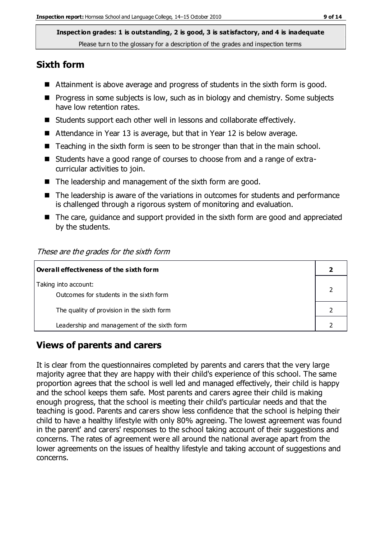#### **Sixth form**

- Attainment is above average and progress of students in the sixth form is good.
- **Progress in some subjects is low, such as in biology and chemistry. Some subjects** have low retention rates.
- Students support each other well in lessons and collaborate effectively.
- Attendance in Year 13 is average, but that in Year 12 is below average.
- Teaching in the sixth form is seen to be stronger than that in the main school.
- Students have a good range of courses to choose from and a range of extracurricular activities to join.
- The leadership and management of the sixth form are good.
- The leadership is aware of the variations in outcomes for students and performance is challenged through a rigorous system of monitoring and evaluation.
- The care, guidance and support provided in the sixth form are good and appreciated by the students.

#### These are the grades for the sixth form

| $\mid$ Overall effectiveness of the sixth form |  |  |
|------------------------------------------------|--|--|
| Taking into account:                           |  |  |
| Outcomes for students in the sixth form        |  |  |
| The quality of provision in the sixth form     |  |  |
| Leadership and management of the sixth form    |  |  |

## **Views of parents and carers**

It is clear from the questionnaires completed by parents and carers that the very large majority agree that they are happy with their child's experience of this school. The same proportion agrees that the school is well led and managed effectively, their child is happy and the school keeps them safe. Most parents and carers agree their child is making enough progress, that the school is meeting their child's particular needs and that the teaching is good. Parents and carers show less confidence that the school is helping their child to have a healthy lifestyle with only 80% agreeing. The lowest agreement was found in the parent' and carers' responses to the school taking account of their suggestions and concerns. The rates of agreement were all around the national average apart from the lower agreements on the issues of healthy lifestyle and taking account of suggestions and concerns.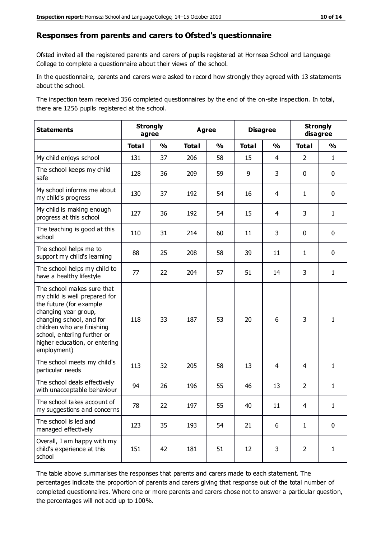#### **Responses from parents and carers to Ofsted's questionnaire**

Ofsted invited all the registered parents and carers of pupils registered at Hornsea School and Language College to complete a questionnaire about their views of the school.

In the questionnaire, parents and carers were asked to record how strongly they agreed with 13 statements about the school.

The inspection team received 356 completed questionnaires by the end of the on-site inspection. In total, there are 1256 pupils registered at the school.

| <b>Statements</b>                                                                                                                                                                                                                                       | <b>Strongly</b><br>agree |               | <b>Agree</b> |               | <b>Disagree</b> |                | <b>Strongly</b><br>disagree |               |
|---------------------------------------------------------------------------------------------------------------------------------------------------------------------------------------------------------------------------------------------------------|--------------------------|---------------|--------------|---------------|-----------------|----------------|-----------------------------|---------------|
|                                                                                                                                                                                                                                                         | <b>Total</b>             | $\frac{1}{2}$ | <b>Total</b> | $\frac{1}{2}$ | <b>Total</b>    | $\frac{1}{2}$  | <b>Total</b>                | $\frac{1}{2}$ |
| My child enjoys school                                                                                                                                                                                                                                  | 131                      | 37            | 206          | 58            | 15              | $\overline{4}$ | $\overline{2}$              | $\mathbf{1}$  |
| The school keeps my child<br>safe                                                                                                                                                                                                                       | 128                      | 36            | 209          | 59            | 9               | 3              | $\mathbf 0$                 | $\mathbf 0$   |
| My school informs me about<br>my child's progress                                                                                                                                                                                                       | 130                      | 37            | 192          | 54            | 16              | 4              | $\mathbf{1}$                | $\mathbf 0$   |
| My child is making enough<br>progress at this school                                                                                                                                                                                                    | 127                      | 36            | 192          | 54            | 15              | 4              | 3                           | $\mathbf{1}$  |
| The teaching is good at this<br>school                                                                                                                                                                                                                  | 110                      | 31            | 214          | 60            | 11              | 3              | $\mathbf 0$                 | $\mathbf 0$   |
| The school helps me to<br>support my child's learning                                                                                                                                                                                                   | 88                       | 25            | 208          | 58            | 39              | 11             | $\mathbf{1}$                | $\mathbf 0$   |
| The school helps my child to<br>have a healthy lifestyle                                                                                                                                                                                                | 77                       | 22            | 204          | 57            | 51              | 14             | 3                           | $\mathbf{1}$  |
| The school makes sure that<br>my child is well prepared for<br>the future (for example<br>changing year group,<br>changing school, and for<br>children who are finishing<br>school, entering further or<br>higher education, or entering<br>employment) | 118                      | 33            | 187          | 53            | 20              | 6              | 3                           | $\mathbf{1}$  |
| The school meets my child's<br>particular needs                                                                                                                                                                                                         | 113                      | 32            | 205          | 58            | 13              | 4              | 4                           | $\mathbf{1}$  |
| The school deals effectively<br>with unacceptable behaviour                                                                                                                                                                                             | 94                       | 26            | 196          | 55            | 46              | 13             | $\overline{2}$              | $\mathbf{1}$  |
| The school takes account of<br>my suggestions and concerns                                                                                                                                                                                              | 78                       | 22            | 197          | 55            | 40              | 11             | 4                           | 1             |
| The school is led and<br>managed effectively                                                                                                                                                                                                            | 123                      | 35            | 193          | 54            | 21              | 6              | $\mathbf{1}$                | $\mathbf 0$   |
| Overall, I am happy with my<br>child's experience at this<br>school                                                                                                                                                                                     | 151                      | 42            | 181          | 51            | 12              | 3              | $\overline{2}$              | $\mathbf{1}$  |

The table above summarises the responses that parents and carers made to each statement. The percentages indicate the proportion of parents and carers giving that response out of the total number of completed questionnaires. Where one or more parents and carers chose not to answer a particular question, the percentages will not add up to 100%.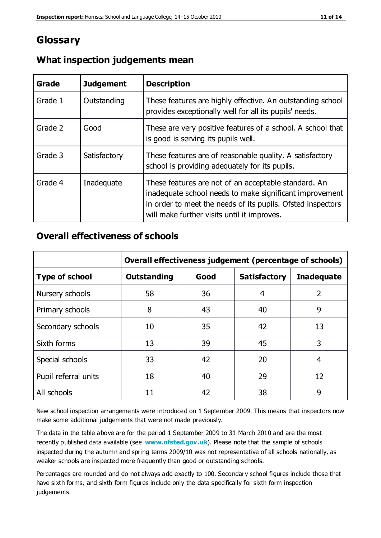## **Glossary**

| Grade   | <b>Judgement</b> | <b>Description</b>                                                                                                                                                                                                            |
|---------|------------------|-------------------------------------------------------------------------------------------------------------------------------------------------------------------------------------------------------------------------------|
| Grade 1 | Outstanding      | These features are highly effective. An outstanding school<br>provides exceptionally well for all its pupils' needs.                                                                                                          |
| Grade 2 | Good             | These are very positive features of a school. A school that<br>is good is serving its pupils well.                                                                                                                            |
| Grade 3 | Satisfactory     | These features are of reasonable quality. A satisfactory<br>school is providing adequately for its pupils.                                                                                                                    |
| Grade 4 | Inadequate       | These features are not of an acceptable standard. An<br>inadequate school needs to make significant improvement<br>in order to meet the needs of its pupils. Ofsted inspectors<br>will make further visits until it improves. |

## **What inspection judgements mean**

## **Overall effectiveness of schools**

|                       | Overall effectiveness judgement (percentage of schools) |      |                     |                   |
|-----------------------|---------------------------------------------------------|------|---------------------|-------------------|
| <b>Type of school</b> | <b>Outstanding</b>                                      | Good | <b>Satisfactory</b> | <b>Inadequate</b> |
| Nursery schools       | 58                                                      | 36   | 4                   | 2                 |
| Primary schools       | 8                                                       | 43   | 40                  | 9                 |
| Secondary schools     | 10                                                      | 35   | 42                  | 13                |
| Sixth forms           | 13                                                      | 39   | 45                  | 3                 |
| Special schools       | 33                                                      | 42   | 20                  | 4                 |
| Pupil referral units  | 18                                                      | 40   | 29                  | 12                |
| All schools           | 11                                                      | 42   | 38                  | 9                 |

New school inspection arrangements were introduced on 1 September 2009. This means that inspectors now make some additional judgements that were not made previously.

The data in the table above are for the period 1 September 2009 to 31 March 2010 and are the most recently published data available (see **[www.ofsted.gov.uk](http://www.ofsted.gov.uk/)**). Please note that the sample of schools inspected during the autumn and spring terms 2009/10 was not representative of all schools nationally, as weaker schools are inspected more frequently than good or outstanding schools.

Percentages are rounded and do not always add exactly to 100. Secondary school figures include those that have sixth forms, and sixth form figures include only the data specifically for sixth form inspection judgements.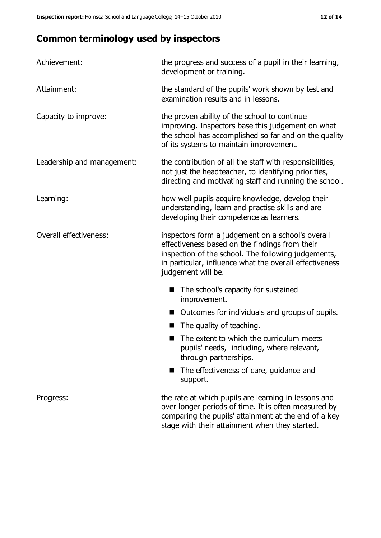# **Common terminology used by inspectors**

| Achievement:               | the progress and success of a pupil in their learning,<br>development or training.                                                                                                                                                          |  |  |
|----------------------------|---------------------------------------------------------------------------------------------------------------------------------------------------------------------------------------------------------------------------------------------|--|--|
| Attainment:                | the standard of the pupils' work shown by test and<br>examination results and in lessons.                                                                                                                                                   |  |  |
| Capacity to improve:       | the proven ability of the school to continue<br>improving. Inspectors base this judgement on what<br>the school has accomplished so far and on the quality<br>of its systems to maintain improvement.                                       |  |  |
| Leadership and management: | the contribution of all the staff with responsibilities,<br>not just the headteacher, to identifying priorities,<br>directing and motivating staff and running the school.                                                                  |  |  |
| Learning:                  | how well pupils acquire knowledge, develop their<br>understanding, learn and practise skills and are<br>developing their competence as learners.                                                                                            |  |  |
| Overall effectiveness:     | inspectors form a judgement on a school's overall<br>effectiveness based on the findings from their<br>inspection of the school. The following judgements,<br>in particular, influence what the overall effectiveness<br>judgement will be. |  |  |
|                            | The school's capacity for sustained<br>improvement.                                                                                                                                                                                         |  |  |
|                            | Outcomes for individuals and groups of pupils.                                                                                                                                                                                              |  |  |
|                            | The quality of teaching.                                                                                                                                                                                                                    |  |  |
|                            | The extent to which the curriculum meets<br>pupils' needs, including, where relevant,<br>through partnerships.                                                                                                                              |  |  |
|                            | The effectiveness of care, guidance and<br>support.                                                                                                                                                                                         |  |  |
| Progress:                  | the rate at which pupils are learning in lessons and<br>over longer periods of time. It is often measured by<br>comparing the pupils' attainment at the end of a key                                                                        |  |  |

stage with their attainment when they started.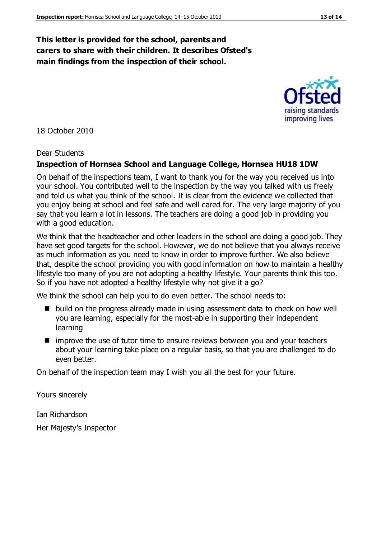#### **This letter is provided for the school, parents and carers to share with their children. It describes Ofsted's main findings from the inspection of their school.**

18 October 2010

#### Dear Students

#### **Inspection of Hornsea School and Language College, Hornsea HU18 1DW**

On behalf of the inspections team, I want to thank you for the way you received us into your school. You contributed well to the inspection by the way you talked with us freely and told us what you think of the school. It is clear from the evidence we collected that you enjoy being at school and feel safe and well cared for. The very large majority of you say that you learn a lot in lessons. The teachers are doing a good job in providing you with a good education.

We think that the headteacher and other leaders in the school are doing a good job. They have set good targets for the school. However, we do not believe that you always receive as much information as you need to know in order to improve further. We also believe that, despite the school providing you with good information on how to maintain a healthy lifestyle too many of you are not adopting a healthy lifestyle. Your parents think this too. So if you have not adopted a healthy lifestyle why not give it a go?

We think the school can help you to do even better. The school needs to:

- $\blacksquare$  build on the progress already made in using assessment data to check on how well you are learning, especially for the most-able in supporting their independent learning
- **I** improve the use of tutor time to ensure reviews between you and your teachers about your learning take place on a regular basis, so that you are challenged to do even better.

On behalf of the inspection team may I wish you all the best for your future.

Yours sincerely

Ian Richardson

Her Majesty's Inspector